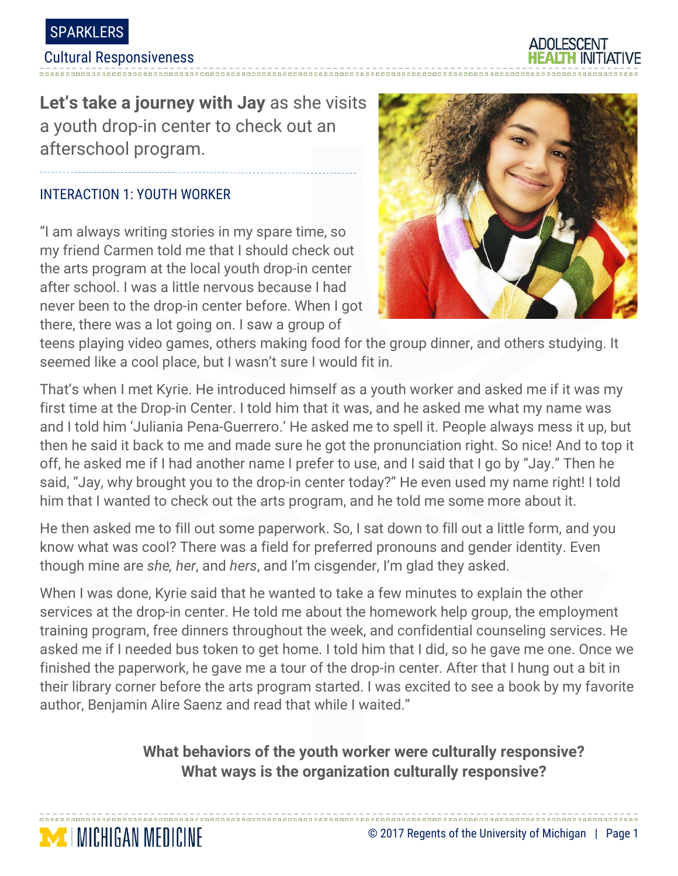

#### Cultural Responsiveness

**Let's take a journey with Jay** as she visits a youth drop-in center to check out an afterschool program.

### INTERACTION 1: YOUTH WORKER

**MICHIGAN MEDICINE** 

"I am always writing stories in my spare time, so my friend Carmen told me that I should check out the arts program at the local youth drop-in center after school. I was a little nervous because I had never been to the drop-in center before. When I got there, there was a lot going on. I saw a group of



teens playing video games, others making food for the group dinner, and others studying. It seemed like a cool place, but I wasn't sure I would fit in.

That's when I met Kyrie. He introduced himself as a youth worker and asked me if it was my first time at the Drop-in Center. I told him that it was, and he asked me what my name was and I told him 'Juliania Pena-Guerrero.' He asked me to spell it. People always mess it up, but then he said it back to me and made sure he got the pronunciation right. So nice! And to top it off, he asked me if I had another name I prefer to use, and I said that I go by "Jay." Then he said, "Jay, why brought you to the drop-in center today?" He even used my name right! I told him that I wanted to check out the arts program, and he told me some more about it.

He then asked me to fill out some paperwork. So, I sat down to fill out a little form, and you know what was cool? There was a field for preferred pronouns and gender identity. Even though mine are *she, her*, and *hers*, and I'm cisgender, I'm glad they asked.

When I was done, Kyrie said that he wanted to take a few minutes to explain the other services at the drop-in center. He told me about the homework help group, the employment training program, free dinners throughout the week, and confidential counseling services. He asked me if I needed bus token to get home. I told him that I did, so he gave me one. Once we finished the paperwork, he gave me a tour of the drop-in center. After that I hung out a bit in their library corner before the arts program started. I was excited to see a book by my favorite author, Benjamin Alire Saenz and read that while I waited."

# **What behaviors of the youth worker were culturally responsive? What ways is the organization culturally responsive?**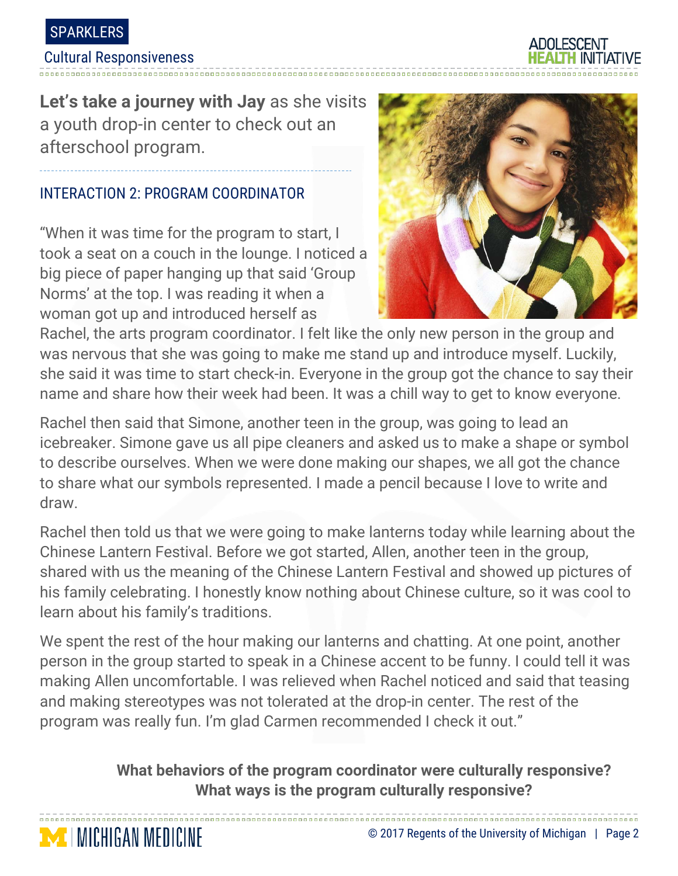

#### Cultural Responsiveness

**MICHIGAN MEDICINE** 

**Let's take a journey with Jay** as she visits a youth drop-in center to check out an afterschool program.

## INTERACTION 2: PROGRAM COORDINATOR

"When it was time for the program to start, I took a seat on a couch in the lounge. I noticed a big piece of paper hanging up that said 'Group Norms' at the top. I was reading it when a woman got up and introduced herself as



Rachel, the arts program coordinator. I felt like the only new person in the group and was nervous that she was going to make me stand up and introduce myself. Luckily, she said it was time to start check-in. Everyone in the group got the chance to say their name and share how their week had been. It was a chill way to get to know everyone.

Rachel then said that Simone, another teen in the group, was going to lead an icebreaker. Simone gave us all pipe cleaners and asked us to make a shape or symbol to describe ourselves. When we were done making our shapes, we all got the chance to share what our symbols represented. I made a pencil because I love to write and draw.

Rachel then told us that we were going to make lanterns today while learning about the Chinese Lantern Festival. Before we got started, Allen, another teen in the group, shared with us the meaning of the Chinese Lantern Festival and showed up pictures of his family celebrating. I honestly know nothing about Chinese culture, so it was cool to learn about his family's traditions.

We spent the rest of the hour making our lanterns and chatting. At one point, another person in the group started to speak in a Chinese accent to be funny. I could tell it was making Allen uncomfortable. I was relieved when Rachel noticed and said that teasing and making stereotypes was not tolerated at the drop-in center. The rest of the program was really fun. I'm glad Carmen recommended I check it out."

**What behaviors of the program coordinator were culturally responsive? What ways is the program culturally responsive?**